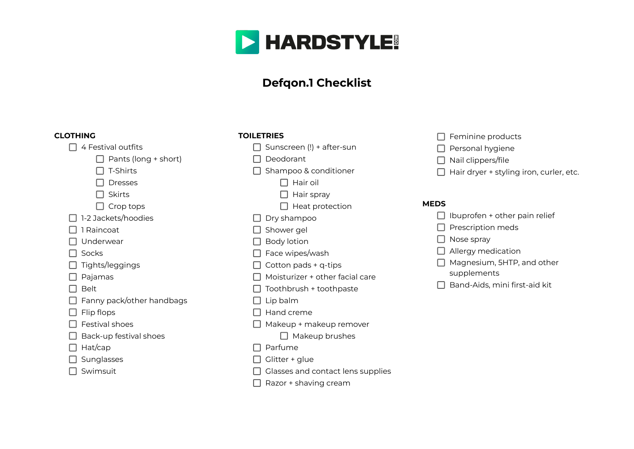

# **Defqon.1 Checklist**

#### **CLOTHING**

- $\Box$  4 Festival outfits
	- $\Box$  Pants (long + short)

 $\Box$  T-Shirts

Dresses

 $\Box$  Skirts

 $\Box$  Crop tops

 $\Box$  1-2 Jackets/hoodies

 $\Box$  1 Raincoat

 $\Box$  Underwear

 $\Box$  Socks

 $\Box$  Tights/leggings

 $\Box$  Pajamas

 $\Box$  Belt

Fanny pack/other handbags

 $\Box$  Flip flops

- $\Box$  Festival shoes
- $\Box$  Back-up festival shoes
- $\Box$  Hat/cap

 $\Box$  Sunglasses

 $\Box$  Swimsuit

- **TOILETRIES**
	- $\Box$  Sunscreen (!) + after-sun
	- $\Box$  Deodorant
	- $\Box$  Shampoo & conditioner

 $\Box$  Hair oil

- $\Box$  Hair spray
- $\Box$  Heat protection
- $\Box$  Dry shampoo
- □ Shower gel
- $\Box$  Body lotion
- $\Box$  Face wipes/wash
- $\Box$  Cotton pads + q-tips
- $\Box$  Moisturizer + other facial care
- $\Box$  Toothbrush + toothpaste
- $\Box$  Lip balm
- $\Box$  Hand creme
- $\Box$  Makeup + makeup remover
	- $\Box$  Makeup brushes
- $\Box$  Parfume
- $\Box$  Glitter + glue
- $\Box$  Glasses and contact lens supplies
- $\Box$  Razor + shaving cream
- $\Box$  Feminine products
- $\Box$  Personal hygiene
- $\Box$  Nail clippers/file
- $\Box$  Hair dryer + styling iron, curler, etc.

#### **MEDS**

- $\Box$  Ibuprofen + other pain relief
- $\Box$  Prescription meds
- $\Box$  Nose spray
- $\Box$  Allergy medication
- $\Box$  Magnesium, 5HTP, and other supplements
- $\Box$  Band-Aids, mini first-aid kit